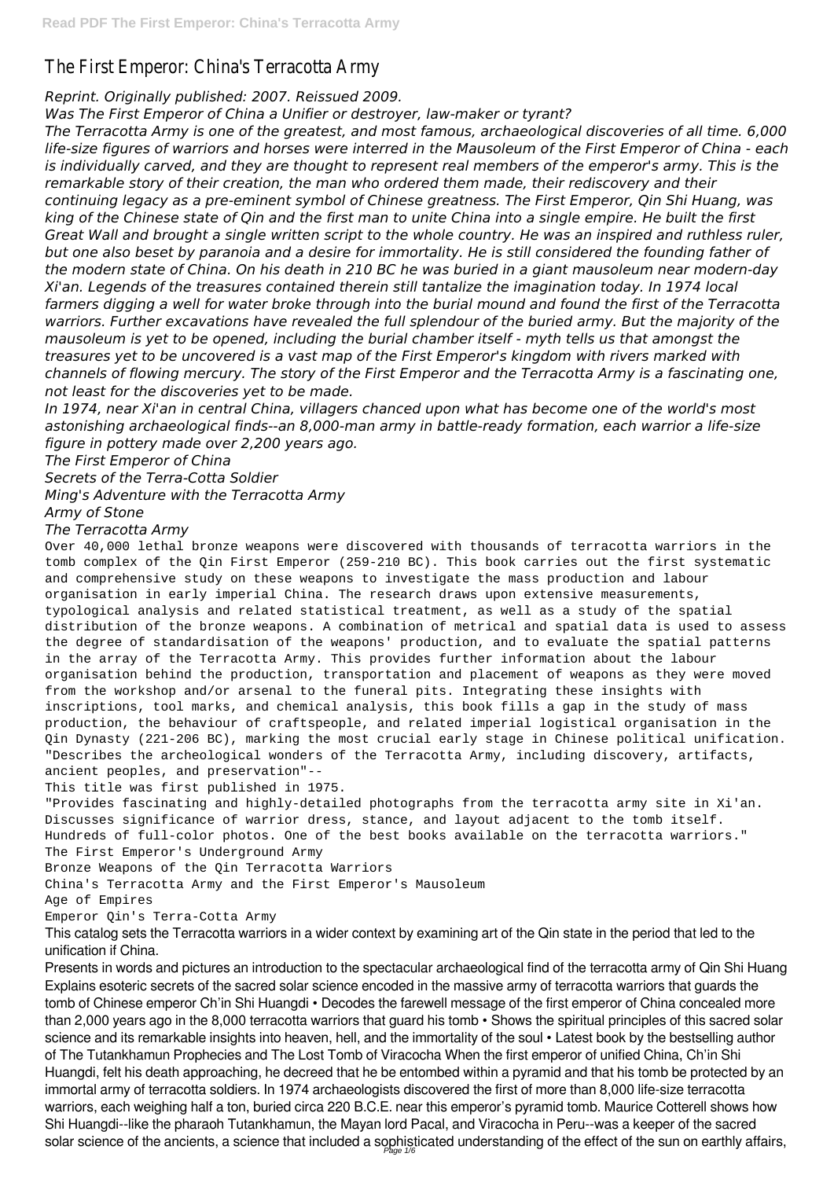# The First Emperor: China's Terracotta Army

## *Reprint. Originally published: 2007. Reissued 2009.*

*Was The First Emperor of China a Unifier or destroyer, law-maker or tyrant?*

*The Terracotta Army is one of the greatest, and most famous, archaeological discoveries of all time. 6,000 life-size figures of warriors and horses were interred in the Mausoleum of the First Emperor of China - each is individually carved, and they are thought to represent real members of the emperor's army. This is the remarkable story of their creation, the man who ordered them made, their rediscovery and their continuing legacy as a pre-eminent symbol of Chinese greatness. The First Emperor, Qin Shi Huang, was king of the Chinese state of Qin and the first man to unite China into a single empire. He built the first Great Wall and brought a single written script to the whole country. He was an inspired and ruthless ruler, but one also beset by paranoia and a desire for immortality. He is still considered the founding father of the modern state of China. On his death in 210 BC he was buried in a giant mausoleum near modern-day Xi'an. Legends of the treasures contained therein still tantalize the imagination today. In 1974 local farmers digging a well for water broke through into the burial mound and found the first of the Terracotta warriors. Further excavations have revealed the full splendour of the buried army. But the majority of the mausoleum is yet to be opened, including the burial chamber itself - myth tells us that amongst the treasures yet to be uncovered is a vast map of the First Emperor's kingdom with rivers marked with channels of flowing mercury. The story of the First Emperor and the Terracotta Army is a fascinating one, not least for the discoveries yet to be made.*

*In 1974, near Xi'an in central China, villagers chanced upon what has become one of the world's most astonishing archaeological finds--an 8,000-man army in battle-ready formation, each warrior a life-size figure in pottery made over 2,200 years ago.*

*The First Emperor of China Secrets of the Terra-Cotta Soldier Ming's Adventure with the Terracotta Army Army of Stone*

### *The Terracotta Army*

Over 40,000 lethal bronze weapons were discovered with thousands of terracotta warriors in the tomb complex of the Qin First Emperor (259-210 BC). This book carries out the first systematic and comprehensive study on these weapons to investigate the mass production and labour organisation in early imperial China. The research draws upon extensive measurements, typological analysis and related statistical treatment, as well as a study of the spatial distribution of the bronze weapons. A combination of metrical and spatial data is used to assess the degree of standardisation of the weapons' production, and to evaluate the spatial patterns in the array of the Terracotta Army. This provides further information about the labour organisation behind the production, transportation and placement of weapons as they were moved from the workshop and/or arsenal to the funeral pits. Integrating these insights with inscriptions, tool marks, and chemical analysis, this book fills a gap in the study of mass production, the behaviour of craftspeople, and related imperial logistical organisation in the Qin Dynasty (221-206 BC), marking the most crucial early stage in Chinese political unification. "Describes the archeological wonders of the Terracotta Army, including discovery, artifacts, ancient peoples, and preservation"--

This title was first published in 1975.

"Provides fascinating and highly-detailed photographs from the terracotta army site in Xi'an. Discusses significance of warrior dress, stance, and layout adjacent to the tomb itself. Hundreds of full-color photos. One of the best books available on the terracotta warriors." The First Emperor's Underground Army

Bronze Weapons of the Qin Terracotta Warriors

China's Terracotta Army and the First Emperor's Mausoleum

Age of Empires

#### Emperor Qin's Terra-Cotta Army

This catalog sets the Terracotta warriors in a wider context by examining art of the Qin state in the period that led to the unification if China.

Presents in words and pictures an introduction to the spectacular archaeological find of the terracotta army of Qin Shi Huang Explains esoteric secrets of the sacred solar science encoded in the massive army of terracotta warriors that guards the tomb of Chinese emperor Ch'in Shi Huangdi • Decodes the farewell message of the first emperor of China concealed more than 2,000 years ago in the 8,000 terracotta warriors that guard his tomb • Shows the spiritual principles of this sacred solar science and its remarkable insights into heaven, hell, and the immortality of the soul • Latest book by the bestselling author of The Tutankhamun Prophecies and The Lost Tomb of Viracocha When the first emperor of unified China, Ch'in Shi Huangdi, felt his death approaching, he decreed that he be entombed within a pyramid and that his tomb be protected by an immortal army of terracotta soldiers. In 1974 archaeologists discovered the first of more than 8,000 life-size terracotta warriors, each weighing half a ton, buried circa 220 B.C.E. near this emperor's pyramid tomb. Maurice Cotterell shows how Shi Huangdi--like the pharaoh Tutankhamun, the Mayan lord Pacal, and Viracocha in Peru--was a keeper of the sacred solar science of the ancients, a science that included a sophisticated understanding of the effect of the sun on earthly affairs, Page 1/6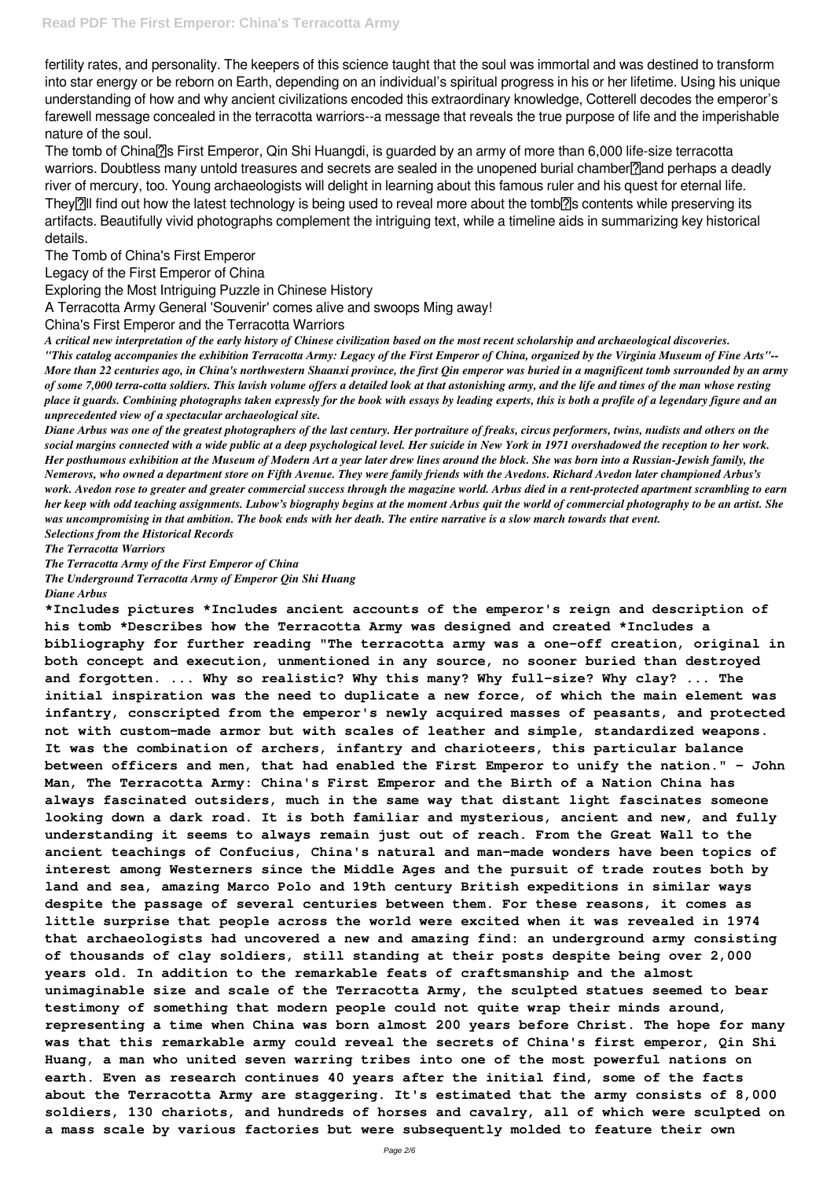fertility rates, and personality. The keepers of this science taught that the soul was immortal and was destined to transform into star energy or be reborn on Earth, depending on an individual's spiritual progress in his or her lifetime. Using his unique understanding of how and why ancient civilizations encoded this extraordinary knowledge, Cotterell decodes the emperor's farewell message concealed in the terracotta warriors--a message that reveals the true purpose of life and the imperishable nature of the soul.

The tomb of China<sub>[7]</sub>'s First Emperor, Qin Shi Huangdi, is guarded by an army of more than 6,000 life-size terracotta warriors. Doubtless many untold treasures and secrets are sealed in the unopened burial chamber<sup>n</sup>and perhaps a deadly river of mercury, too. Young archaeologists will delight in learning about this famous ruler and his quest for eternal life. They<sup>[2]</sup>] find out how the latest technology is being used to reveal more about the tomb<sup>[2]</sup> contents while preserving its artifacts. Beautifully vivid photographs complement the intriguing text, while a timeline aids in summarizing key historical details.

The Tomb of China's First Emperor

Legacy of the First Emperor of China

Exploring the Most Intriguing Puzzle in Chinese History

A Terracotta Army General 'Souvenir' comes alive and swoops Ming away!

China's First Emperor and the Terracotta Warriors

*A critical new interpretation of the early history of Chinese civilization based on the most recent scholarship and archaeological discoveries. "This catalog accompanies the exhibition Terracotta Army: Legacy of the First Emperor of China, organized by the Virginia Museum of Fine Arts"-- More than 22 centuries ago, in China's northwestern Shaanxi province, the first Qin emperor was buried in a magnificent tomb surrounded by an army of some 7,000 terra-cotta soldiers. This lavish volume offers a detailed look at that astonishing army, and the life and times of the man whose resting place it guards. Combining photographs taken expressly for the book with essays by leading experts, this is both a profile of a legendary figure and an unprecedented view of a spectacular archaeological site.*

*Diane Arbus was one of the greatest photographers of the last century. Her portraiture of freaks, circus performers, twins, nudists and others on the social margins connected with a wide public at a deep psychological level. Her suicide in New York in 1971 overshadowed the reception to her work. Her posthumous exhibition at the Museum of Modern Art a year later drew lines around the block. She was born into a Russian-Jewish family, the Nemerovs, who owned a department store on Fifth Avenue. They were family friends with the Avedons. Richard Avedon later championed Arbus's work. Avedon rose to greater and greater commercial success through the magazine world. Arbus died in a rent-protected apartment scrambling to earn her keep with odd teaching assignments. Lubow's biography begins at the moment Arbus quit the world of commercial photography to be an artist. She was uncompromising in that ambition. The book ends with her death. The entire narrative is a slow march towards that event. Selections from the Historical Records*

*The Terracotta Warriors*

*The Terracotta Army of the First Emperor of China*

*The Underground Terracotta Army of Emperor Qin Shi Huang*

*Diane Arbus*

**\*Includes pictures \*Includes ancient accounts of the emperor's reign and description of his tomb \*Describes how the Terracotta Army was designed and created \*Includes a bibliography for further reading "The terracotta army was a one-off creation, original in both concept and execution, unmentioned in any source, no sooner buried than destroyed and forgotten. ... Why so realistic? Why this many? Why full-size? Why clay? ... The initial inspiration was the need to duplicate a new force, of which the main element was infantry, conscripted from the emperor's newly acquired masses of peasants, and protected not with custom-made armor but with scales of leather and simple, standardized weapons. It was the combination of archers, infantry and charioteers, this particular balance between officers and men, that had enabled the First Emperor to unify the nation." - John Man, The Terracotta Army: China's First Emperor and the Birth of a Nation China has always fascinated outsiders, much in the same way that distant light fascinates someone looking down a dark road. It is both familiar and mysterious, ancient and new, and fully understanding it seems to always remain just out of reach. From the Great Wall to the ancient teachings of Confucius, China's natural and man-made wonders have been topics of interest among Westerners since the Middle Ages and the pursuit of trade routes both by land and sea, amazing Marco Polo and 19th century British expeditions in similar ways despite the passage of several centuries between them. For these reasons, it comes as little surprise that people across the world were excited when it was revealed in 1974 that archaeologists had uncovered a new and amazing find: an underground army consisting of thousands of clay soldiers, still standing at their posts despite being over 2,000 years old. In addition to the remarkable feats of craftsmanship and the almost unimaginable size and scale of the Terracotta Army, the sculpted statues seemed to bear testimony of something that modern people could not quite wrap their minds around, representing a time when China was born almost 200 years before Christ. The hope for many was that this remarkable army could reveal the secrets of China's first emperor, Qin Shi Huang, a man who united seven warring tribes into one of the most powerful nations on earth. Even as research continues 40 years after the initial find, some of the facts about the Terracotta Army are staggering. It's estimated that the army consists of 8,000 soldiers, 130 chariots, and hundreds of horses and cavalry, all of which were sculpted on a mass scale by various factories but were subsequently molded to feature their own**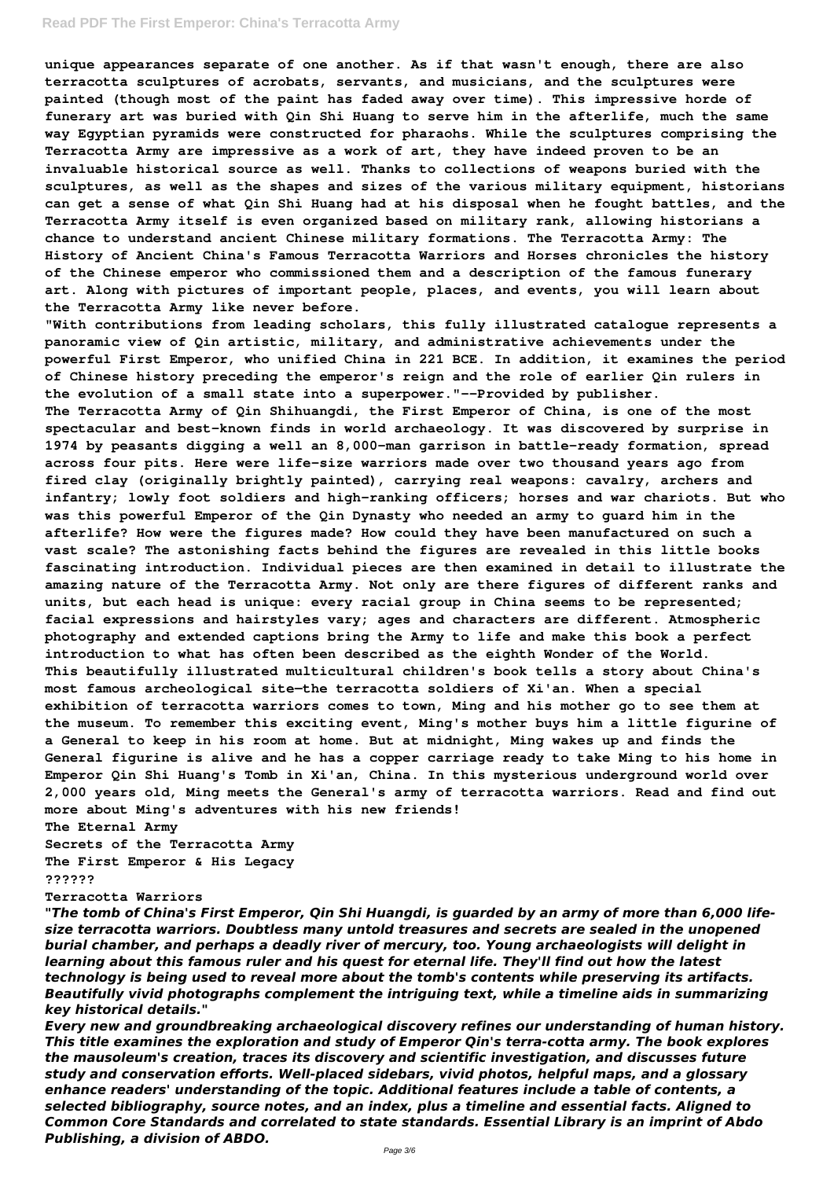#### **Read PDF The First Emperor: China's Terracotta Army**

**unique appearances separate of one another. As if that wasn't enough, there are also terracotta sculptures of acrobats, servants, and musicians, and the sculptures were painted (though most of the paint has faded away over time). This impressive horde of funerary art was buried with Qin Shi Huang to serve him in the afterlife, much the same way Egyptian pyramids were constructed for pharaohs. While the sculptures comprising the Terracotta Army are impressive as a work of art, they have indeed proven to be an invaluable historical source as well. Thanks to collections of weapons buried with the sculptures, as well as the shapes and sizes of the various military equipment, historians can get a sense of what Qin Shi Huang had at his disposal when he fought battles, and the Terracotta Army itself is even organized based on military rank, allowing historians a chance to understand ancient Chinese military formations. The Terracotta Army: The History of Ancient China's Famous Terracotta Warriors and Horses chronicles the history of the Chinese emperor who commissioned them and a description of the famous funerary art. Along with pictures of important people, places, and events, you will learn about the Terracotta Army like never before.**

**"With contributions from leading scholars, this fully illustrated catalogue represents a panoramic view of Qin artistic, military, and administrative achievements under the powerful First Emperor, who unified China in 221 BCE. In addition, it examines the period of Chinese history preceding the emperor's reign and the role of earlier Qin rulers in the evolution of a small state into a superpower."--Provided by publisher. The Terracotta Army of Qin Shihuangdi, the First Emperor of China, is one of the most spectacular and best-known finds in world archaeology. It was discovered by surprise in 1974 by peasants digging a well an 8,000-man garrison in battle-ready formation, spread across four pits. Here were life-size warriors made over two thousand years ago from fired clay (originally brightly painted), carrying real weapons: cavalry, archers and infantry; lowly foot soldiers and high-ranking officers; horses and war chariots. But who was this powerful Emperor of the Qin Dynasty who needed an army to guard him in the afterlife? How were the figures made? How could they have been manufactured on such a vast scale? The astonishing facts behind the figures are revealed in this little books fascinating introduction. Individual pieces are then examined in detail to illustrate the amazing nature of the Terracotta Army. Not only are there figures of different ranks and units, but each head is unique: every racial group in China seems to be represented; facial expressions and hairstyles vary; ages and characters are different. Atmospheric photography and extended captions bring the Army to life and make this book a perfect introduction to what has often been described as the eighth Wonder of the World. This beautifully illustrated multicultural children's book tells a story about China's most famous archeological site—the terracotta soldiers of Xi'an. When a special exhibition of terracotta warriors comes to town, Ming and his mother go to see them at the museum. To remember this exciting event, Ming's mother buys him a little figurine of a General to keep in his room at home. But at midnight, Ming wakes up and finds the General figurine is alive and he has a copper carriage ready to take Ming to his home in Emperor Qin Shi Huang's Tomb in Xi'an, China. In this mysterious underground world over 2,000 years old, Ming meets the General's army of terracotta warriors. Read and find out more about Ming's adventures with his new friends! The Eternal Army Secrets of the Terracotta Army The First Emperor & His Legacy ??????**

**Terracotta Warriors**

*"The tomb of China's First Emperor, Qin Shi Huangdi, is guarded by an army of more than 6,000 lifesize terracotta warriors. Doubtless many untold treasures and secrets are sealed in the unopened burial chamber, and perhaps a deadly river of mercury, too. Young archaeologists will delight in learning about this famous ruler and his quest for eternal life. They'll find out how the latest technology is being used to reveal more about the tomb's contents while preserving its artifacts. Beautifully vivid photographs complement the intriguing text, while a timeline aids in summarizing key historical details."*

*Every new and groundbreaking archaeological discovery refines our understanding of human history. This title examines the exploration and study of Emperor Qin's terra-cotta army. The book explores the mausoleum's creation, traces its discovery and scientific investigation, and discusses future study and conservation efforts. Well-placed sidebars, vivid photos, helpful maps, and a glossary enhance readers' understanding of the topic. Additional features include a table of contents, a selected bibliography, source notes, and an index, plus a timeline and essential facts. Aligned to Common Core Standards and correlated to state standards. Essential Library is an imprint of Abdo Publishing, a division of ABDO.*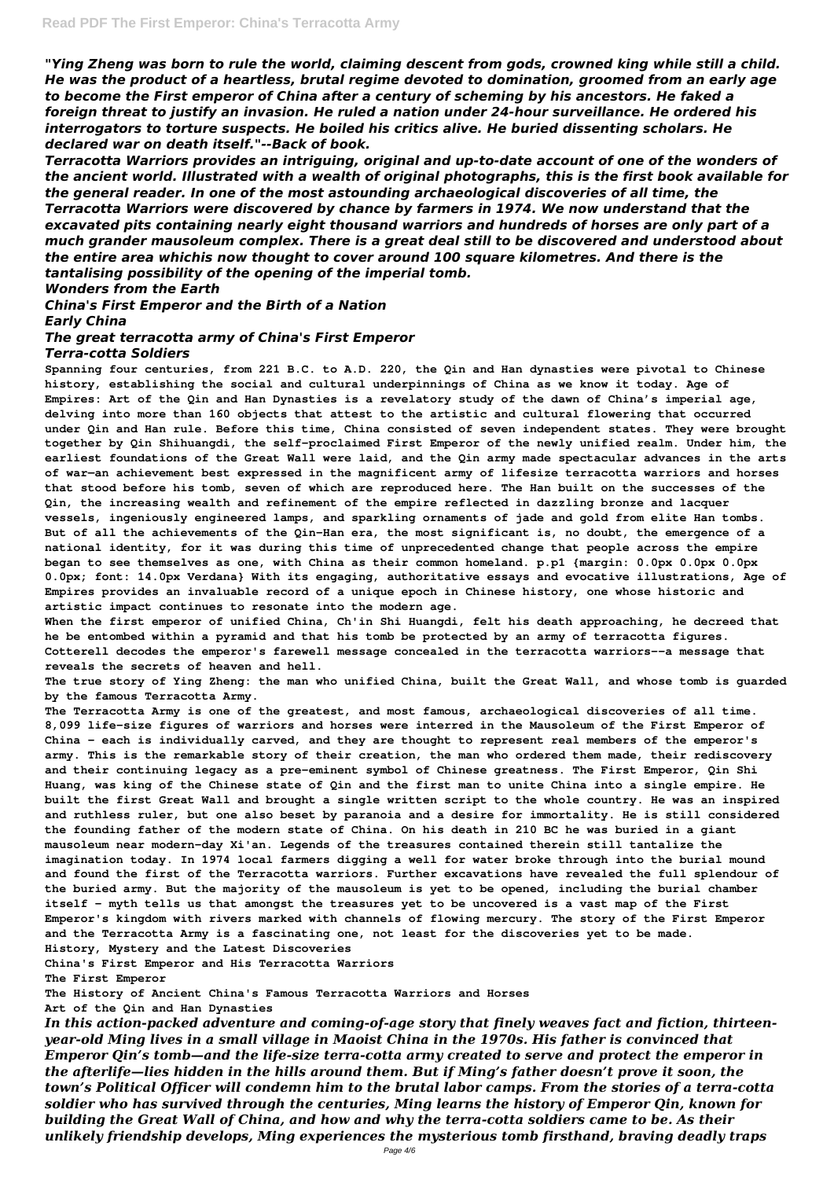*"Ying Zheng was born to rule the world, claiming descent from gods, crowned king while still a child. He was the product of a heartless, brutal regime devoted to domination, groomed from an early age to become the First emperor of China after a century of scheming by his ancestors. He faked a foreign threat to justify an invasion. He ruled a nation under 24-hour surveillance. He ordered his interrogators to torture suspects. He boiled his critics alive. He buried dissenting scholars. He declared war on death itself."--Back of book.*

*Terracotta Warriors provides an intriguing, original and up-to-date account of one of the wonders of the ancient world. Illustrated with a wealth of original photographs, this is the first book available for the general reader. In one of the most astounding archaeological discoveries of all time, the Terracotta Warriors were discovered by chance by farmers in 1974. We now understand that the excavated pits containing nearly eight thousand warriors and hundreds of horses are only part of a much grander mausoleum complex. There is a great deal still to be discovered and understood about the entire area whichis now thought to cover around 100 square kilometres. And there is the tantalising possibility of the opening of the imperial tomb.*

*Wonders from the Earth*

*China's First Emperor and the Birth of a Nation Early China*

*The great terracotta army of China's First Emperor Terra-cotta Soldiers*

**Spanning four centuries, from 221 B.C. to A.D. 220, the Qin and Han dynasties were pivotal to Chinese history, establishing the social and cultural underpinnings of China as we know it today. Age of Empires: Art of the Qin and Han Dynasties is a revelatory study of the dawn of China's imperial age, delving into more than 160 objects that attest to the artistic and cultural flowering that occurred under Qin and Han rule. Before this time, China consisted of seven independent states. They were brought together by Qin Shihuangdi, the self-proclaimed First Emperor of the newly unified realm. Under him, the earliest foundations of the Great Wall were laid, and the Qin army made spectacular advances in the arts of war—an achievement best expressed in the magnificent army of lifesize terracotta warriors and horses that stood before his tomb, seven of which are reproduced here. The Han built on the successes of the Qin, the increasing wealth and refinement of the empire reflected in dazzling bronze and lacquer vessels, ingeniously engineered lamps, and sparkling ornaments of jade and gold from elite Han tombs. But of all the achievements of the Qin-Han era, the most significant is, no doubt, the emergence of a national identity, for it was during this time of unprecedented change that people across the empire began to see themselves as one, with China as their common homeland. p.p1 {margin: 0.0px 0.0px 0.0px 0.0px; font: 14.0px Verdana} With its engaging, authoritative essays and evocative illustrations, Age of Empires provides an invaluable record of a unique epoch in Chinese history, one whose historic and artistic impact continues to resonate into the modern age.**

**When the first emperor of unified China, Ch'in Shi Huangdi, felt his death approaching, he decreed that he be entombed within a pyramid and that his tomb be protected by an army of terracotta figures. Cotterell decodes the emperor's farewell message concealed in the terracotta warriors--a message that reveals the secrets of heaven and hell.**

**The true story of Ying Zheng: the man who unified China, built the Great Wall, and whose tomb is guarded by the famous Terracotta Army.**

**The Terracotta Army is one of the greatest, and most famous, archaeological discoveries of all time. 8,099 life-size figures of warriors and horses were interred in the Mausoleum of the First Emperor of China - each is individually carved, and they are thought to represent real members of the emperor's army. This is the remarkable story of their creation, the man who ordered them made, their rediscovery and their continuing legacy as a pre-eminent symbol of Chinese greatness. The First Emperor, Qin Shi Huang, was king of the Chinese state of Qin and the first man to unite China into a single empire. He built the first Great Wall and brought a single written script to the whole country. He was an inspired and ruthless ruler, but one also beset by paranoia and a desire for immortality. He is still considered the founding father of the modern state of China. On his death in 210 BC he was buried in a giant mausoleum near modern-day Xi'an. Legends of the treasures contained therein still tantalize the imagination today. In 1974 local farmers digging a well for water broke through into the burial mound and found the first of the Terracotta warriors. Further excavations have revealed the full splendour of** the buried army. But the majority of the mausoleum is yet to be opened, including the burial chambe: **itself - myth tells us that amongst the treasures yet to be uncovered is a vast map of the First Emperor's kingdom with rivers marked with channels of flowing mercury. The story of the First Emperor and the Terracotta Army is a fascinating one, not least for the discoveries yet to be made. History, Mystery and the Latest Discoveries China's First Emperor and His Terracotta Warriors**

**The First Emperor**

**The History of Ancient China's Famous Terracotta Warriors and Horses**

**Art of the Qin and Han Dynasties**

*In this action-packed adventure and coming-of-age story that finely weaves fact and fiction, thirteenyear-old Ming lives in a small village in Maoist China in the 1970s. His father is convinced that Emperor Qin's tomb—and the life-size terra-cotta army created to serve and protect the emperor in the afterlife—lies hidden in the hills around them. But if Ming's father doesn't prove it soon, the town's Political Officer will condemn him to the brutal labor camps. From the stories of a terra-cotta soldier who has survived through the centuries, Ming learns the history of Emperor Qin, known for building the Great Wall of China, and how and why the terra-cotta soldiers came to be. As their unlikely friendship develops, Ming experiences the mysterious tomb firsthand, braving deadly traps*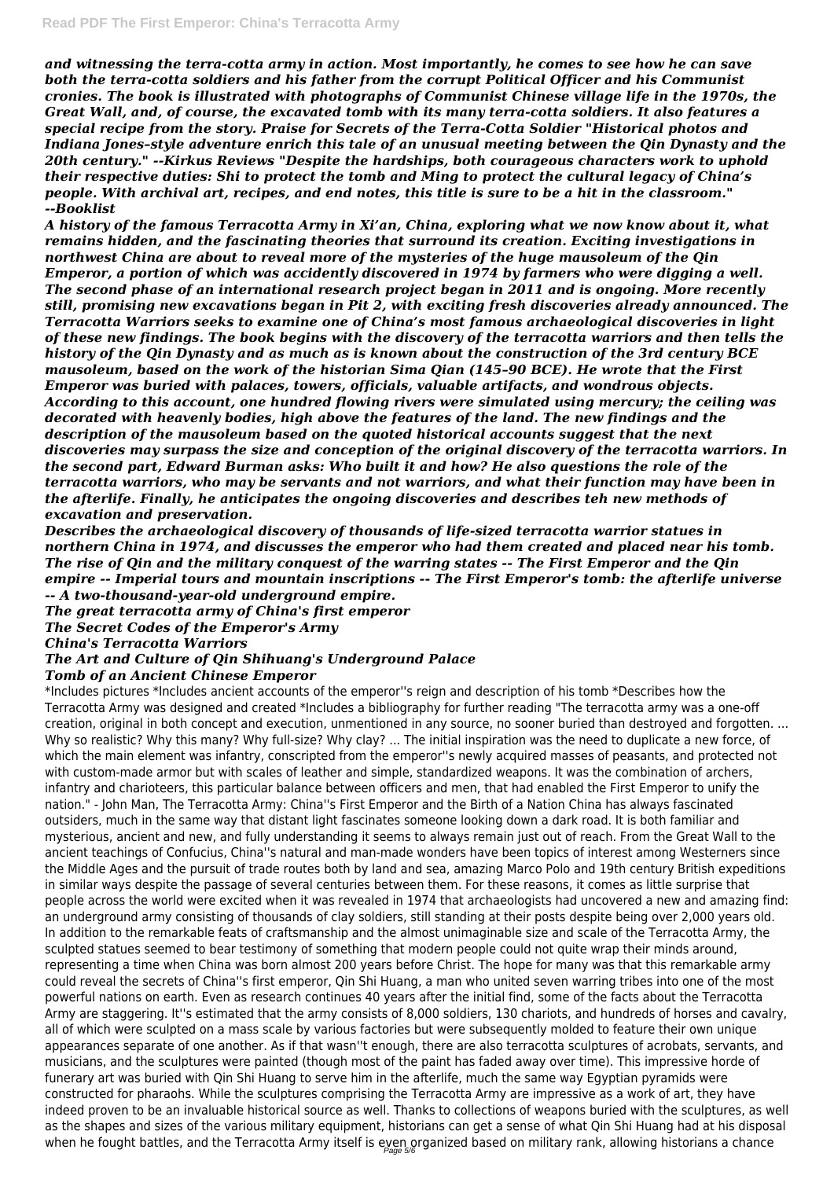*and witnessing the terra-cotta army in action. Most importantly, he comes to see how he can save both the terra-cotta soldiers and his father from the corrupt Political Officer and his Communist cronies. The book is illustrated with photographs of Communist Chinese village life in the 1970s, the Great Wall, and, of course, the excavated tomb with its many terra-cotta soldiers. It also features a special recipe from the story. Praise for Secrets of the Terra-Cotta Soldier "Historical photos and Indiana Jones–style adventure enrich this tale of an unusual meeting between the Qin Dynasty and the 20th century." --Kirkus Reviews "Despite the hardships, both courageous characters work to uphold their respective duties: Shi to protect the tomb and Ming to protect the cultural legacy of China's people. With archival art, recipes, and end notes, this title is sure to be a hit in the classroom." --Booklist*

\*Includes pictures \*Includes ancient accounts of the emperor''s reign and description of his tomb \*Describes how the Terracotta Army was designed and created \*Includes a bibliography for further reading "The terracotta army was a one-off creation, original in both concept and execution, unmentioned in any source, no sooner buried than destroyed and forgotten. ... Why so realistic? Why this many? Why full-size? Why clay? ... The initial inspiration was the need to duplicate a new force, of which the main element was infantry, conscripted from the emperor''s newly acquired masses of peasants, and protected not with custom-made armor but with scales of leather and simple, standardized weapons. It was the combination of archers, infantry and charioteers, this particular balance between officers and men, that had enabled the First Emperor to unify the nation." - John Man, The Terracotta Army: China''s First Emperor and the Birth of a Nation China has always fascinated outsiders, much in the same way that distant light fascinates someone looking down a dark road. It is both familiar and mysterious, ancient and new, and fully understanding it seems to always remain just out of reach. From the Great Wall to the ancient teachings of Confucius, China''s natural and man-made wonders have been topics of interest among Westerners since the Middle Ages and the pursuit of trade routes both by land and sea, amazing Marco Polo and 19th century British expeditions in similar ways despite the passage of several centuries between them. For these reasons, it comes as little surprise that people across the world were excited when it was revealed in 1974 that archaeologists had uncovered a new and amazing find: an underground army consisting of thousands of clay soldiers, still standing at their posts despite being over 2,000 years old. In addition to the remarkable feats of craftsmanship and the almost unimaginable size and scale of the Terracotta Army, the sculpted statues seemed to bear testimony of something that modern people could not quite wrap their minds around, representing a time when China was born almost 200 years before Christ. The hope for many was that this remarkable army could reveal the secrets of China''s first emperor, Qin Shi Huang, a man who united seven warring tribes into one of the most powerful nations on earth. Even as research continues 40 years after the initial find, some of the facts about the Terracotta Army are staggering. It''s estimated that the army consists of 8,000 soldiers, 130 chariots, and hundreds of horses and cavalry, all of which were sculpted on a mass scale by various factories but were subsequently molded to feature their own unique appearances separate of one another. As if that wasn''t enough, there are also terracotta sculptures of acrobats, servants, and musicians, and the sculptures were painted (though most of the paint has faded away over time). This impressive horde of funerary art was buried with Qin Shi Huang to serve him in the afterlife, much the same way Egyptian pyramids were constructed for pharaohs. While the sculptures comprising the Terracotta Army are impressive as a work of art, they have indeed proven to be an invaluable historical source as well. Thanks to collections of weapons buried with the sculptures, as well as the shapes and sizes of the various military equipment, historians can get a sense of what Qin Shi Huang had at his disposal when he fought battles, and the Terracotta Army itself is even organized based on military rank, allowing historians a chance

*A history of the famous Terracotta Army in Xi'an, China, exploring what we now know about it, what remains hidden, and the fascinating theories that surround its creation. Exciting investigations in northwest China are about to reveal more of the mysteries of the huge mausoleum of the Qin Emperor, a portion of which was accidently discovered in 1974 by farmers who were digging a well. The second phase of an international research project began in 2011 and is ongoing. More recently still, promising new excavations began in Pit 2, with exciting fresh discoveries already announced. The Terracotta Warriors seeks to examine one of China's most famous archaeological discoveries in light of these new findings. The book begins with the discovery of the terracotta warriors and then tells the history of the Qin Dynasty and as much as is known about the construction of the 3rd century BCE mausoleum, based on the work of the historian Sima Qian (145–90 BCE). He wrote that the First Emperor was buried with palaces, towers, officials, valuable artifacts, and wondrous objects. According to this account, one hundred flowing rivers were simulated using mercury; the ceiling was decorated with heavenly bodies, high above the features of the land. The new findings and the description of the mausoleum based on the quoted historical accounts suggest that the next discoveries may surpass the size and conception of the original discovery of the terracotta warriors. In the second part, Edward Burman asks: Who built it and how? He also questions the role of the terracotta warriors, who may be servants and not warriors, and what their function may have been in the afterlife. Finally, he anticipates the ongoing discoveries and describes teh new methods of excavation and preservation.*

*Describes the archaeological discovery of thousands of life-sized terracotta warrior statues in northern China in 1974, and discusses the emperor who had them created and placed near his tomb. The rise of Qin and the military conquest of the warring states -- The First Emperor and the Qin empire -- Imperial tours and mountain inscriptions -- The First Emperor's tomb: the afterlife universe -- A two-thousand-year-old underground empire.*

*The great terracotta army of China's first emperor*

*The Secret Codes of the Emperor's Army*

*China's Terracotta Warriors*

### *The Art and Culture of Qin Shihuang's Underground Palace Tomb of an Ancient Chinese Emperor*